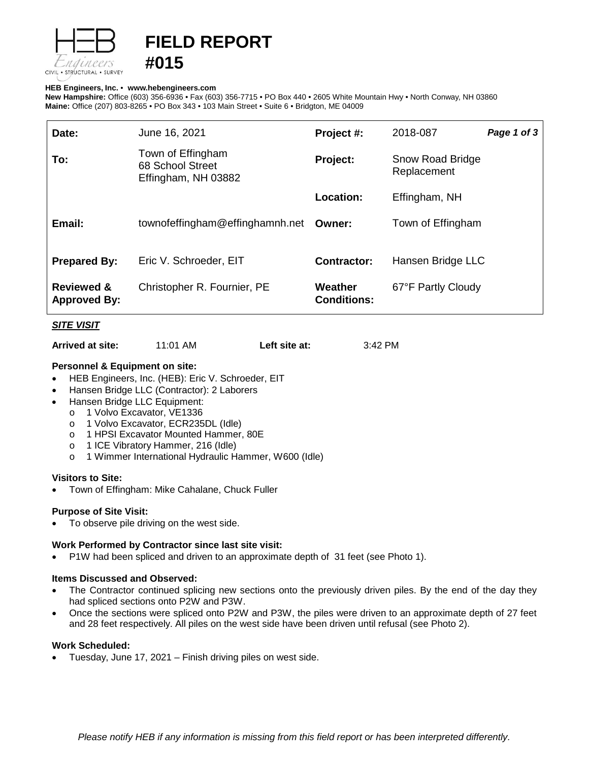

# **FIELD REPORT #015**

## **HEB Engineers, Inc.** • **[www.hebengineer](http://www.hebengineers.com/)s.com**

**New Hampshire:** Office (603) 356-6936 • Fax (603) 356-7715 • PO Box 440 • 2605 White Mountain Hwy • North Conway, NH 03860 **Maine:** Office (207) 803-8265 • PO Box 343 • 103 Main Street • Suite 6 • Bridgton, ME 04009

| Date:                                        | June 16, 2021                                                | Project #:                           | 2018-087                        | Page 1 of 3 |
|----------------------------------------------|--------------------------------------------------------------|--------------------------------------|---------------------------------|-------------|
| To:                                          | Town of Effingham<br>68 School Street<br>Effingham, NH 03882 | <b>Project:</b>                      | Snow Road Bridge<br>Replacement |             |
|                                              |                                                              | Location:                            | Effingham, NH                   |             |
| Email:                                       | townofeffingham@effinghamnh.net                              | Owner:                               | Town of Effingham               |             |
| <b>Prepared By:</b>                          | Eric V. Schroeder, EIT                                       | <b>Contractor:</b>                   | Hansen Bridge LLC               |             |
| <b>Reviewed &amp;</b><br><b>Approved By:</b> | Christopher R. Fournier, PE                                  | <b>Weather</b><br><b>Conditions:</b> | 67°F Partly Cloudy              |             |

## *SITE VISIT*

**Arrived at site:** 11:01 AM **Left site at:** 3:42 PM

## **Personnel & Equipment on site:**

- HEB Engineers, Inc. (HEB): Eric V. Schroeder, EIT
- Hansen Bridge LLC (Contractor): 2 Laborers
- Hansen Bridge LLC Equipment:
	- o 1 Volvo Excavator, VE1336
	- o 1 Volvo Excavator, ECR235DL (Idle)
	- o 1 HPSI Excavator Mounted Hammer, 80E
	- o 1 ICE Vibratory Hammer, 216 (Idle)
	- o 1 Wimmer International Hydraulic Hammer, W600 (Idle)

## **Visitors to Site:**

• Town of Effingham: Mike Cahalane, Chuck Fuller

## **Purpose of Site Visit:**

To observe pile driving on the west side.

# **Work Performed by Contractor since last site visit:**

• P1W had been spliced and driven to an approximate depth of 31 feet (see Photo 1).

# **Items Discussed and Observed:**

- The Contractor continued splicing new sections onto the previously driven piles. By the end of the day they had spliced sections onto P2W and P3W.
- Once the sections were spliced onto P2W and P3W, the piles were driven to an approximate depth of 27 feet and 28 feet respectively. All piles on the west side have been driven until refusal (see Photo 2).

# **Work Scheduled:**

• Tuesday, June 17, 2021 – Finish driving piles on west side.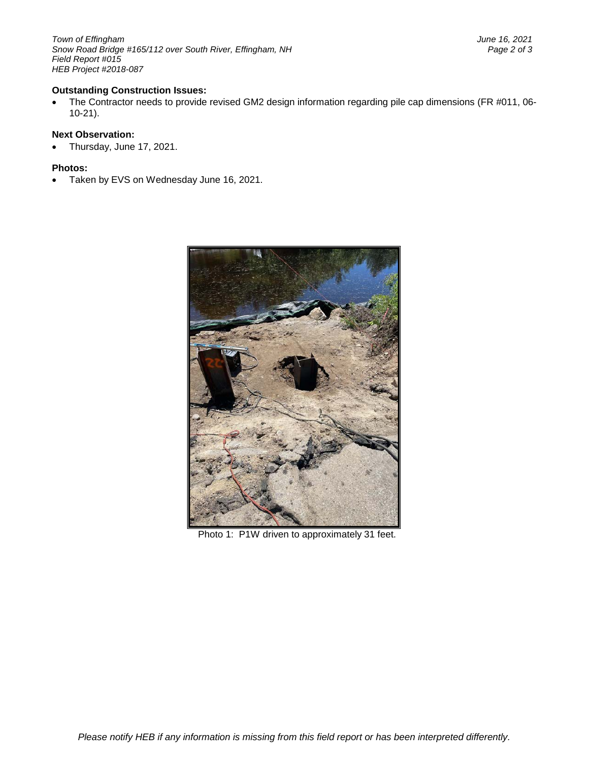*Town of Effingham June 16, 2021 Snow Road Bridge #165/112 over South River, Effingham, NH Field Report #015 HEB Project #2018-087*

## **Outstanding Construction Issues:**

• The Contractor needs to provide revised GM2 design information regarding pile cap dimensions (FR #011, 06- 10-21).

## **Next Observation:**

• Thursday, June 17, 2021.

#### **Photos:**

• Taken by EVS on Wednesday June 16, 2021.



Photo 1: P1W driven to approximately 31 feet.